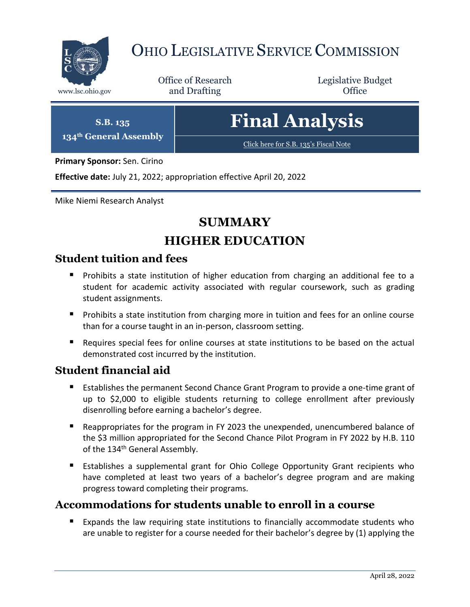

# OHIO LEGISLATIVE SERVICE COMMISSION

Office of Research www.lsc.ohio.gov **and Drafting Office** 

Legislative Budget

**S.B. 135 134th General Assembly**

# **Final Analysis**

[Click here for S.B. 135](https://www.legislature.ohio.gov/legislation/legislation-documents?id=GA134-SB-135)'s Fiscal Note

**Primary Sponsor:** Sen. Cirino

**Effective date:** July 21, 2022; appropriation effective April 20, 2022

Mike Niemi Research Analyst

## **SUMMARY**

### **HIGHER EDUCATION**

### **Student tuition and fees**

- **Prohibits a state institution of higher education from charging an additional fee to a** student for academic activity associated with regular coursework, such as grading student assignments.
- **Prohibits a state institution from charging more in tuition and fees for an online course** than for a course taught in an in-person, classroom setting.
- Requires special fees for online courses at state institutions to be based on the actual demonstrated cost incurred by the institution.

### **Student financial aid**

- **Establishes the permanent Second Chance Grant Program to provide a one-time grant of** up to \$2,000 to eligible students returning to college enrollment after previously disenrolling before earning a bachelor's degree.
- Reappropriates for the program in FY 2023 the unexpended, unencumbered balance of the \$3 million appropriated for the Second Chance Pilot Program in FY 2022 by H.B. 110 of the 134<sup>th</sup> General Assembly.
- Establishes a supplemental grant for Ohio College Opportunity Grant recipients who have completed at least two years of a bachelor's degree program and are making progress toward completing their programs.

### **Accommodations for students unable to enroll in a course**

 Expands the law requiring state institutions to financially accommodate students who are unable to register for a course needed for their bachelor's degree by (1) applying the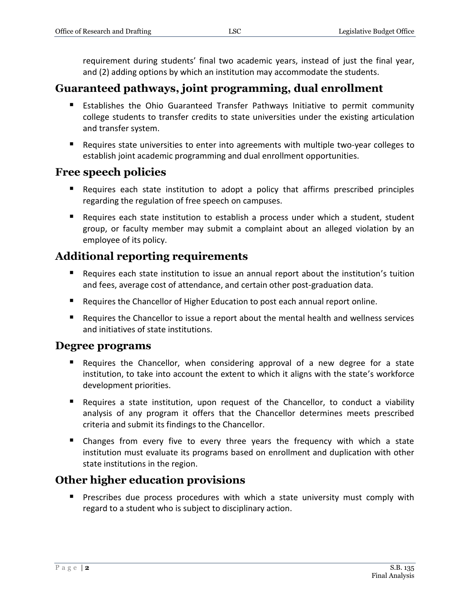requirement during students' final two academic years, instead of just the final year, and (2) adding options by which an institution may accommodate the students.

### **Guaranteed pathways, joint programming, dual enrollment**

- Establishes the Ohio Guaranteed Transfer Pathways Initiative to permit community college students to transfer credits to state universities under the existing articulation and transfer system.
- Requires state universities to enter into agreements with multiple two-year colleges to establish joint academic programming and dual enrollment opportunities.

### **Free speech policies**

- **E** Requires each state institution to adopt a policy that affirms prescribed principles regarding the regulation of free speech on campuses.
- Requires each state institution to establish a process under which a student, student group, or faculty member may submit a complaint about an alleged violation by an employee of its policy.

### **Additional reporting requirements**

- Requires each state institution to issue an annual report about the institution's tuition and fees, average cost of attendance, and certain other post-graduation data.
- Requires the Chancellor of Higher Education to post each annual report online.
- **Requires the Chancellor to issue a report about the mental health and wellness services** and initiatives of state institutions.

### **Degree programs**

- Requires the Chancellor, when considering approval of a new degree for a state institution, to take into account the extent to which it aligns with the state's workforce development priorities.
- Requires a state institution, upon request of the Chancellor, to conduct a viability analysis of any program it offers that the Chancellor determines meets prescribed criteria and submit its findings to the Chancellor.
- Changes from every five to every three years the frequency with which a state institution must evaluate its programs based on enrollment and duplication with other state institutions in the region.

### **Other higher education provisions**

**Prescribes due process procedures with which a state university must comply with** regard to a student who is subject to disciplinary action.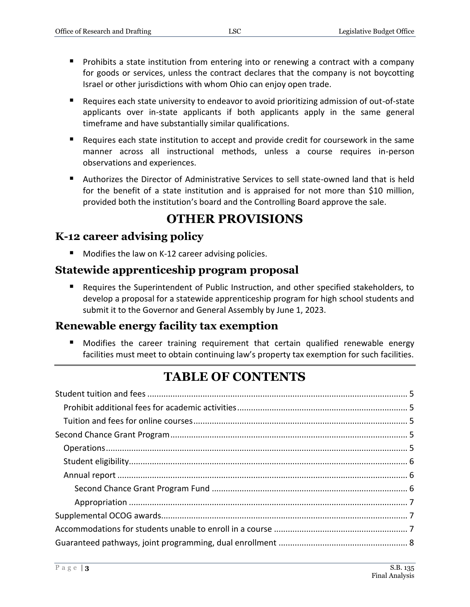- **Prohibits a state institution from entering into or renewing a contract with a company** for goods or services, unless the contract declares that the company is not boycotting Israel or other jurisdictions with whom Ohio can enjoy open trade.
- Requires each state university to endeavor to avoid prioritizing admission of out-of-state applicants over in-state applicants if both applicants apply in the same general timeframe and have substantially similar qualifications.
- Requires each state institution to accept and provide credit for coursework in the same manner across all instructional methods, unless a course requires in-person observations and experiences.
- Authorizes the Director of Administrative Services to sell state-owned land that is held for the benefit of a state institution and is appraised for not more than \$10 million, provided both the institution's board and the Controlling Board approve the sale.

# **OTHER PROVISIONS**

### **K-12 career advising policy**

**Modifies the law on K-12 career advising policies.** 

### **Statewide apprenticeship program proposal**

 Requires the Superintendent of Public Instruction, and other specified stakeholders, to develop a proposal for a statewide apprenticeship program for high school students and submit it to the Governor and General Assembly by June 1, 2023.

### **Renewable energy facility tax exemption**

 Modifies the career training requirement that certain qualified renewable energy facilities must meet to obtain continuing law's property tax exemption for such facilities.

# **TABLE OF CONTENTS**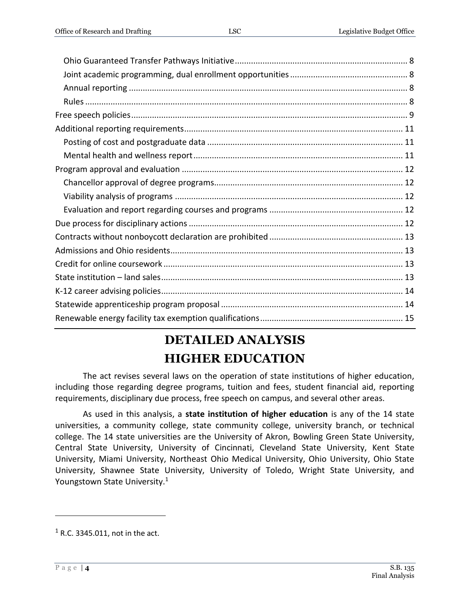# **DETAILED ANALYSIS HIGHER EDUCATION**

The act revises several laws on the operation of state institutions of higher education, including those regarding degree programs, tuition and fees, student financial aid, reporting requirements, disciplinary due process, free speech on campus, and several other areas.

As used in this analysis, a **state institution of higher education** is any of the 14 state universities, a community college, state community college, university branch, or technical college. The 14 state universities are the University of Akron, Bowling Green State University, Central State University, University of Cincinnati, Cleveland State University, Kent State University, Miami University, Northeast Ohio Medical University, Ohio University, Ohio State University, Shawnee State University, University of Toledo, Wright State University, and Youngstown State University.<sup>1</sup>

 $1$  R.C. 3345.011, not in the act.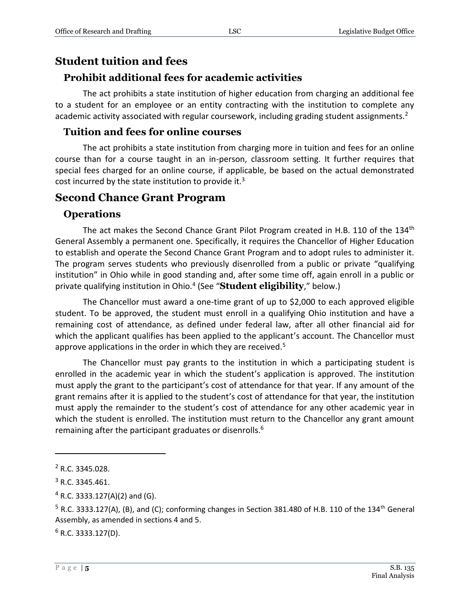### <span id="page-4-0"></span>**Student tuition and fees**

### <span id="page-4-1"></span>**Prohibit additional fees for academic activities**

The act prohibits a state institution of higher education from charging an additional fee to a student for an employee or an entity contracting with the institution to complete any academic activity associated with regular coursework, including grading student assignments.<sup>2</sup>

#### <span id="page-4-2"></span>**Tuition and fees for online courses**

The act prohibits a state institution from charging more in tuition and fees for an online course than for a course taught in an in-person, classroom setting. It further requires that special fees charged for an online course, if applicable, be based on the actual demonstrated cost incurred by the state institution to provide it.<sup>3</sup>

### <span id="page-4-3"></span>**Second Chance Grant Program**

#### <span id="page-4-4"></span>**Operations**

The act makes the Second Chance Grant Pilot Program created in H.B. 110 of the 134<sup>th</sup> General Assembly a permanent one. Specifically, it requires the Chancellor of Higher Education to establish and operate the Second Chance Grant Program and to adopt rules to administer it. The program serves students who previously disenrolled from a public or private "qualifying institution" in Ohio while in good standing and, after some time off, again enroll in a public or private qualifying institution in Ohio.<sup>4</sup> (See "**Student eligibility**," below.)

The Chancellor must award a one-time grant of up to \$2,000 to each approved eligible student. To be approved, the student must enroll in a qualifying Ohio institution and have a remaining cost of attendance, as defined under federal law, after all other financial aid for which the applicant qualifies has been applied to the applicant's account. The Chancellor must approve applications in the order in which they are received.<sup>5</sup>

The Chancellor must pay grants to the institution in which a participating student is enrolled in the academic year in which the student's application is approved. The institution must apply the grant to the participant's cost of attendance for that year. If any amount of the grant remains after it is applied to the student's cost of attendance for that year, the institution must apply the remainder to the student's cost of attendance for any other academic year in which the student is enrolled. The institution must return to the Chancellor any grant amount remaining after the participant graduates or disenrolls.<sup>6</sup>

 $\overline{a}$ 

 $6$  R.C. 3333.127(D).

<sup>&</sup>lt;sup>2</sup> R.C. 3345.028.

 $3$  R.C. 3345.461.

 $4$  R.C. 3333.127(A)(2) and (G).

<sup>&</sup>lt;sup>5</sup> R.C. 3333.127(A), (B), and (C); conforming changes in Section 381.480 of H.B. 110 of the 134<sup>th</sup> General Assembly, as amended in sections 4 and 5.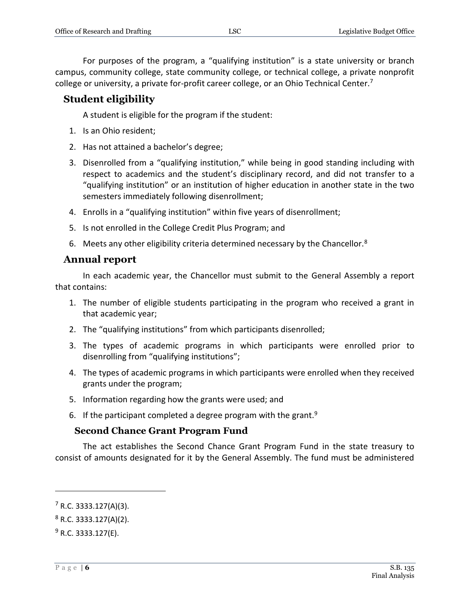For purposes of the program, a "qualifying institution" is a state university or branch campus, community college, state community college, or technical college, a private nonprofit college or university, a private for-profit career college, or an Ohio Technical Center.<sup>7</sup>

### <span id="page-5-0"></span>**Student eligibility**

A student is eligible for the program if the student:

- 1. Is an Ohio resident;
- 2. Has not attained a bachelor's degree;
- 3. Disenrolled from a "qualifying institution," while being in good standing including with respect to academics and the student's disciplinary record, and did not transfer to a "qualifying institution" or an institution of higher education in another state in the two semesters immediately following disenrollment;
- 4. Enrolls in a "qualifying institution" within five years of disenrollment;
- 5. Is not enrolled in the College Credit Plus Program; and
- 6. Meets any other eligibility criteria determined necessary by the Chancellor. $8$

#### <span id="page-5-1"></span>**Annual report**

In each academic year, the Chancellor must submit to the General Assembly a report that contains:

- 1. The number of eligible students participating in the program who received a grant in that academic year;
- 2. The "qualifying institutions" from which participants disenrolled;
- 3. The types of academic programs in which participants were enrolled prior to disenrolling from "qualifying institutions";
- 4. The types of academic programs in which participants were enrolled when they received grants under the program;
- 5. Information regarding how the grants were used; and
- 6. If the participant completed a degree program with the grant.<sup>9</sup>

#### **Second Chance Grant Program Fund**

<span id="page-5-2"></span>The act establishes the Second Chance Grant Program Fund in the state treasury to consist of amounts designated for it by the General Assembly. The fund must be administered

 $<sup>7</sup>$  R.C. 3333.127(A)(3).</sup>

 $8$  R.C. 3333.127(A)(2).

 $9$  R.C. 3333.127(E).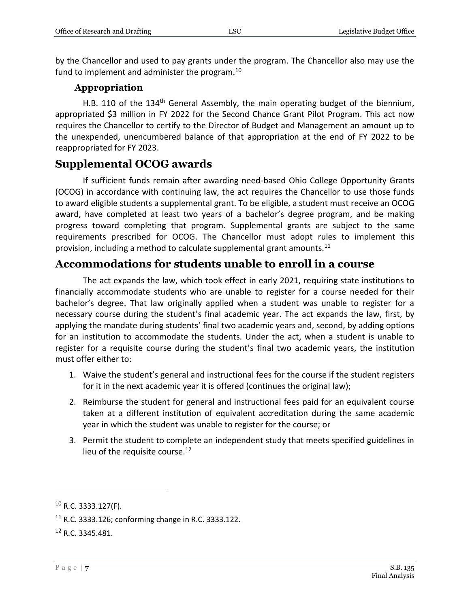by the Chancellor and used to pay grants under the program. The Chancellor also may use the fund to implement and administer the program.<sup>10</sup>

### **Appropriation**

<span id="page-6-0"></span>H.B. 110 of the 134<sup>th</sup> General Assembly, the main operating budget of the biennium, appropriated \$3 million in FY 2022 for the Second Chance Grant Pilot Program. This act now requires the Chancellor to certify to the Director of Budget and Management an amount up to the unexpended, unencumbered balance of that appropriation at the end of FY 2022 to be reappropriated for FY 2023.

### <span id="page-6-1"></span>**Supplemental OCOG awards**

If sufficient funds remain after awarding need-based Ohio College Opportunity Grants (OCOG) in accordance with continuing law, the act requires the Chancellor to use those funds to award eligible students a supplemental grant. To be eligible, a student must receive an OCOG award, have completed at least two years of a bachelor's degree program, and be making progress toward completing that program. Supplemental grants are subject to the same requirements prescribed for OCOG. The Chancellor must adopt rules to implement this provision, including a method to calculate supplemental grant amounts. $11$ 

### <span id="page-6-2"></span>**Accommodations for students unable to enroll in a course**

The act expands the law, which took effect in early 2021, requiring state institutions to financially accommodate students who are unable to register for a course needed for their bachelor's degree. That law originally applied when a student was unable to register for a necessary course during the student's final academic year. The act expands the law, first, by applying the mandate during students' final two academic years and, second, by adding options for an institution to accommodate the students. Under the act, when a student is unable to register for a requisite course during the student's final two academic years, the institution must offer either to:

- 1. Waive the student's general and instructional fees for the course if the student registers for it in the next academic year it is offered (continues the original law);
- 2. Reimburse the student for general and instructional fees paid for an equivalent course taken at a different institution of equivalent accreditation during the same academic year in which the student was unable to register for the course; or
- 3. Permit the student to complete an independent study that meets specified guidelines in lieu of the requisite course.<sup>12</sup>

<sup>10</sup> R.C. 3333.127(F).

<sup>11</sup> R.C. 3333.126; conforming change in R.C. 3333.122.

<sup>12</sup> R.C. 3345.481.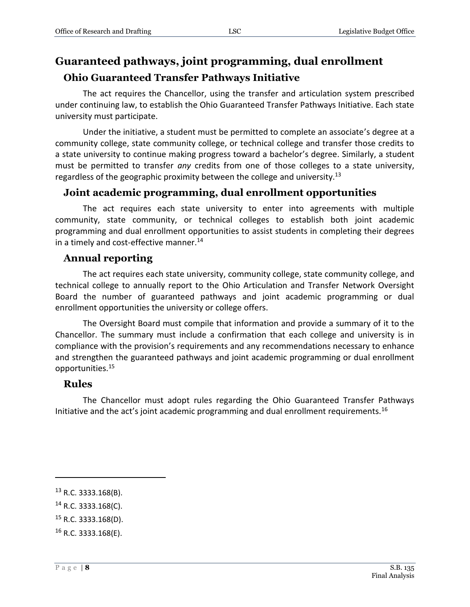### <span id="page-7-1"></span><span id="page-7-0"></span>**Guaranteed pathways, joint programming, dual enrollment Ohio Guaranteed Transfer Pathways Initiative**

The act requires the Chancellor, using the transfer and articulation system prescribed under continuing law, to establish the Ohio Guaranteed Transfer Pathways Initiative. Each state university must participate.

Under the initiative, a student must be permitted to complete an associate's degree at a community college, state community college, or technical college and transfer those credits to a state university to continue making progress toward a bachelor's degree. Similarly, a student must be permitted to transfer *any* credits from one of those colleges to a state university, regardless of the geographic proximity between the college and university.<sup>13</sup>

#### <span id="page-7-2"></span>**Joint academic programming, dual enrollment opportunities**

The act requires each state university to enter into agreements with multiple community, state community, or technical colleges to establish both joint academic programming and dual enrollment opportunities to assist students in completing their degrees in a timely and cost-effective manner.<sup>14</sup>

#### <span id="page-7-3"></span>**Annual reporting**

The act requires each state university, community college, state community college, and technical college to annually report to the Ohio Articulation and Transfer Network Oversight Board the number of guaranteed pathways and joint academic programming or dual enrollment opportunities the university or college offers.

The Oversight Board must compile that information and provide a summary of it to the Chancellor. The summary must include a confirmation that each college and university is in compliance with the provision's requirements and any recommendations necessary to enhance and strengthen the guaranteed pathways and joint academic programming or dual enrollment opportunities.<sup>15</sup>

#### <span id="page-7-4"></span>**Rules**

The Chancellor must adopt rules regarding the Ohio Guaranteed Transfer Pathways Initiative and the act's joint academic programming and dual enrollment requirements.<sup>16</sup>

<sup>14</sup> R.C. 3333.168(C).

 $13$  R.C. 3333.168(B).

<sup>15</sup> R.C. 3333.168(D).

 $16$  R.C. 3333.168(E).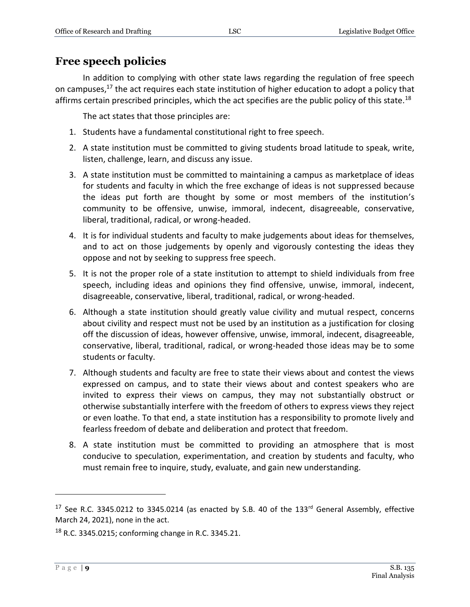### <span id="page-8-0"></span>**Free speech policies**

In addition to complying with other state laws regarding the regulation of free speech on campuses,<sup>17</sup> the act requires each state institution of higher education to adopt a policy that affirms certain prescribed principles, which the act specifies are the public policy of this state.<sup>18</sup>

The act states that those principles are:

- 1. Students have a fundamental constitutional right to free speech.
- 2. A state institution must be committed to giving students broad latitude to speak, write, listen, challenge, learn, and discuss any issue.
- 3. A state institution must be committed to maintaining a campus as marketplace of ideas for students and faculty in which the free exchange of ideas is not suppressed because the ideas put forth are thought by some or most members of the institution's community to be offensive, unwise, immoral, indecent, disagreeable, conservative, liberal, traditional, radical, or wrong-headed.
- 4. It is for individual students and faculty to make judgements about ideas for themselves, and to act on those judgements by openly and vigorously contesting the ideas they oppose and not by seeking to suppress free speech.
- 5. It is not the proper role of a state institution to attempt to shield individuals from free speech, including ideas and opinions they find offensive, unwise, immoral, indecent, disagreeable, conservative, liberal, traditional, radical, or wrong-headed.
- 6. Although a state institution should greatly value civility and mutual respect, concerns about civility and respect must not be used by an institution as a justification for closing off the discussion of ideas, however offensive, unwise, immoral, indecent, disagreeable, conservative, liberal, traditional, radical, or wrong-headed those ideas may be to some students or faculty.
- 7. Although students and faculty are free to state their views about and contest the views expressed on campus, and to state their views about and contest speakers who are invited to express their views on campus, they may not substantially obstruct or otherwise substantially interfere with the freedom of others to express views they reject or even loathe. To that end, a state institution has a responsibility to promote lively and fearless freedom of debate and deliberation and protect that freedom.
- 8. A state institution must be committed to providing an atmosphere that is most conducive to speculation, experimentation, and creation by students and faculty, who must remain free to inquire, study, evaluate, and gain new understanding.

<sup>&</sup>lt;sup>17</sup> See R.C. 3345.0212 to 3345.0214 (as enacted by S.B. 40 of the 133<sup>rd</sup> General Assembly, effective March 24, 2021), none in the act.

<sup>18</sup> R.C. 3345.0215; conforming change in R.C. 3345.21.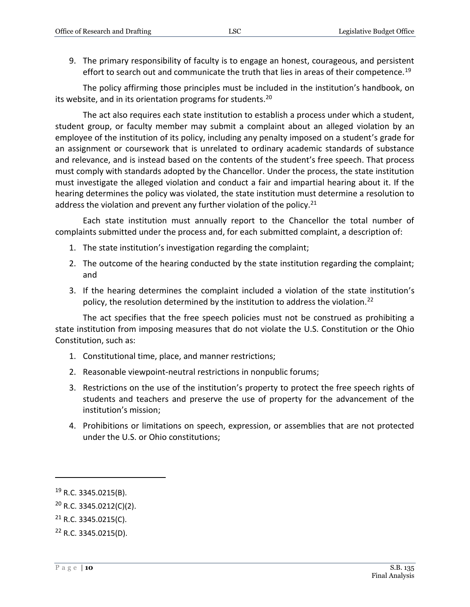9. The primary responsibility of faculty is to engage an honest, courageous, and persistent effort to search out and communicate the truth that lies in areas of their competence.<sup>19</sup>

The policy affirming those principles must be included in the institution's handbook, on its website, and in its orientation programs for students.<sup>20</sup>

The act also requires each state institution to establish a process under which a student, student group, or faculty member may submit a complaint about an alleged violation by an employee of the institution of its policy, including any penalty imposed on a student's grade for an assignment or coursework that is unrelated to ordinary academic standards of substance and relevance, and is instead based on the contents of the student's free speech. That process must comply with standards adopted by the Chancellor. Under the process, the state institution must investigate the alleged violation and conduct a fair and impartial hearing about it. If the hearing determines the policy was violated, the state institution must determine a resolution to address the violation and prevent any further violation of the policy. $21$ 

Each state institution must annually report to the Chancellor the total number of complaints submitted under the process and, for each submitted complaint, a description of:

- 1. The state institution's investigation regarding the complaint;
- 2. The outcome of the hearing conducted by the state institution regarding the complaint; and
- 3. If the hearing determines the complaint included a violation of the state institution's policy, the resolution determined by the institution to address the violation.<sup>22</sup>

The act specifies that the free speech policies must not be construed as prohibiting a state institution from imposing measures that do not violate the U.S. Constitution or the Ohio Constitution, such as:

- 1. Constitutional time, place, and manner restrictions;
- 2. Reasonable viewpoint-neutral restrictions in nonpublic forums;
- 3. Restrictions on the use of the institution's property to protect the free speech rights of students and teachers and preserve the use of property for the advancement of the institution's mission;
- 4. Prohibitions or limitations on speech, expression, or assemblies that are not protected under the U.S. or Ohio constitutions;

<sup>19</sup> R.C. 3345.0215(B).

 $20$  R.C. 3345.0212(C)(2).

 $21$  R.C. 3345.0215(C).

<sup>22</sup> R.C. 3345.0215(D).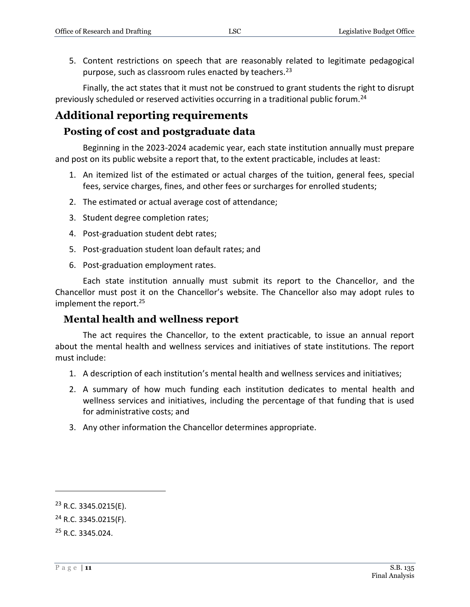5. Content restrictions on speech that are reasonably related to legitimate pedagogical purpose, such as classroom rules enacted by teachers.<sup>23</sup>

Finally, the act states that it must not be construed to grant students the right to disrupt previously scheduled or reserved activities occurring in a traditional public forum.<sup>24</sup>

### <span id="page-10-0"></span>**Additional reporting requirements**

### <span id="page-10-1"></span>**Posting of cost and postgraduate data**

Beginning in the 2023-2024 academic year, each state institution annually must prepare and post on its public website a report that, to the extent practicable, includes at least:

- 1. An itemized list of the estimated or actual charges of the tuition, general fees, special fees, service charges, fines, and other fees or surcharges for enrolled students;
- 2. The estimated or actual average cost of attendance;
- 3. Student degree completion rates;
- 4. Post-graduation student debt rates;
- 5. Post-graduation student loan default rates; and
- 6. Post-graduation employment rates.

Each state institution annually must submit its report to the Chancellor, and the Chancellor must post it on the Chancellor's website. The Chancellor also may adopt rules to implement the report.<sup>25</sup>

#### <span id="page-10-2"></span>**Mental health and wellness report**

The act requires the Chancellor, to the extent practicable, to issue an annual report about the mental health and wellness services and initiatives of state institutions. The report must include:

- 1. A description of each institution's mental health and wellness services and initiatives;
- 2. A summary of how much funding each institution dedicates to mental health and wellness services and initiatives, including the percentage of that funding that is used for administrative costs; and
- 3. Any other information the Chancellor determines appropriate.

<sup>23</sup> R.C. 3345.0215(E).

<sup>24</sup> R.C. 3345.0215(F).

<sup>25</sup> R.C. 3345.024.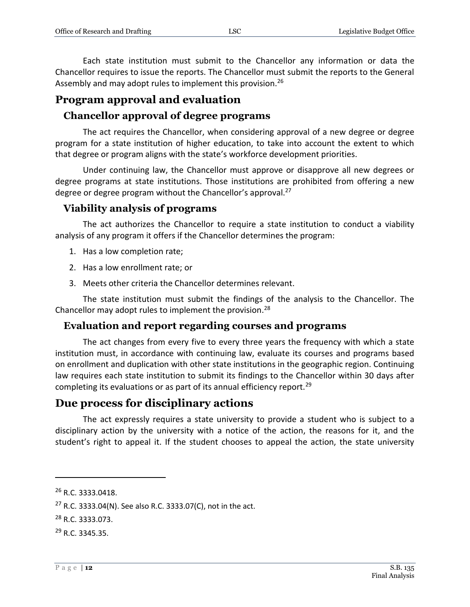Each state institution must submit to the Chancellor any information or data the Chancellor requires to issue the reports. The Chancellor must submit the reports to the General Assembly and may adopt rules to implement this provision.<sup>26</sup>

### <span id="page-11-0"></span>**Program approval and evaluation**

#### <span id="page-11-1"></span>**Chancellor approval of degree programs**

The act requires the Chancellor, when considering approval of a new degree or degree program for a state institution of higher education, to take into account the extent to which that degree or program aligns with the state's workforce development priorities.

Under continuing law, the Chancellor must approve or disapprove all new degrees or degree programs at state institutions. Those institutions are prohibited from offering a new degree or degree program without the Chancellor's approval.<sup>27</sup>

### <span id="page-11-2"></span>**Viability analysis of programs**

The act authorizes the Chancellor to require a state institution to conduct a viability analysis of any program it offers if the Chancellor determines the program:

- 1. Has a low completion rate;
- 2. Has a low enrollment rate; or
- 3. Meets other criteria the Chancellor determines relevant.

The state institution must submit the findings of the analysis to the Chancellor. The Chancellor may adopt rules to implement the provision.<sup>28</sup>

#### <span id="page-11-3"></span>**Evaluation and report regarding courses and programs**

The act changes from every five to every three years the frequency with which a state institution must, in accordance with continuing law, evaluate its courses and programs based on enrollment and duplication with other state institutions in the geographic region. Continuing law requires each state institution to submit its findings to the Chancellor within 30 days after completing its evaluations or as part of its annual efficiency report.<sup>29</sup>

### <span id="page-11-4"></span>**Due process for disciplinary actions**

The act expressly requires a state university to provide a student who is subject to a disciplinary action by the university with a notice of the action, the reasons for it, and the student's right to appeal it. If the student chooses to appeal the action, the state university

<sup>26</sup> R.C. 3333.0418.

<sup>&</sup>lt;sup>27</sup> R.C. 3333.04(N). See also R.C. 3333.07(C), not in the act.

<sup>28</sup> R.C. 3333.073.

<sup>29</sup> R.C. 3345.35.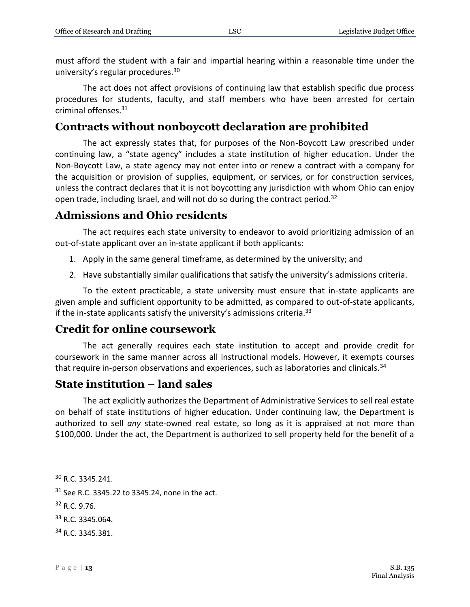must afford the student with a fair and impartial hearing within a reasonable time under the university's regular procedures.<sup>30</sup>

The act does not affect provisions of continuing law that establish specific due process procedures for students, faculty, and staff members who have been arrested for certain criminal offenses.<sup>31</sup>

#### <span id="page-12-0"></span>**Contracts without nonboycott declaration are prohibited**

The act expressly states that, for purposes of the Non-Boycott Law prescribed under continuing law, a "state agency" includes a state institution of higher education. Under the Non-Boycott Law, a state agency may not enter into or renew a contract with a company for the acquisition or provision of supplies, equipment, or services, or for construction services, unless the contract declares that it is not boycotting any jurisdiction with whom Ohio can enjoy open trade, including Israel, and will not do so during the contract period.<sup>32</sup>

### <span id="page-12-1"></span>**Admissions and Ohio residents**

The act requires each state university to endeavor to avoid prioritizing admission of an out-of-state applicant over an in-state applicant if both applicants:

- 1. Apply in the same general timeframe, as determined by the university; and
- 2. Have substantially similar qualifications that satisfy the university's admissions criteria.

To the extent practicable, a state university must ensure that in-state applicants are given ample and sufficient opportunity to be admitted, as compared to out-of-state applicants, if the in-state applicants satisfy the university's admissions criteria.<sup>33</sup>

#### <span id="page-12-2"></span>**Credit for online coursework**

The act generally requires each state institution to accept and provide credit for coursework in the same manner across all instructional models. However, it exempts courses that require in-person observations and experiences, such as laboratories and clinicals.<sup>34</sup>

### <span id="page-12-3"></span>**State institution – land sales**

The act explicitly authorizes the Department of Administrative Services to sell real estate on behalf of state institutions of higher education. Under continuing law, the Department is authorized to sell *any* state-owned real estate, so long as it is appraised at not more than \$100,000. Under the act, the Department is authorized to sell property held for the benefit of a

<sup>30</sup> R.C. 3345.241.

 $31$  See R.C. 3345.22 to 3345.24, none in the act.

<sup>32</sup> R.C. 9.76.

<sup>33</sup> R.C. 3345.064.

<sup>34</sup> R.C. 3345.381.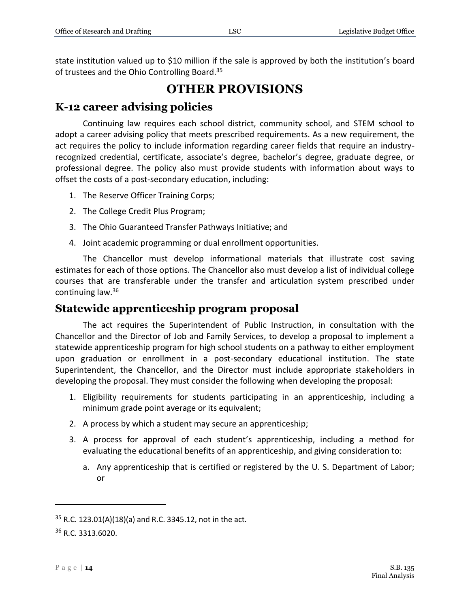state institution valued up to \$10 million if the sale is approved by both the institution's board of trustees and the Ohio Controlling Board.<sup>35</sup>

# **OTHER PROVISIONS**

### <span id="page-13-0"></span>**K-12 career advising policies**

Continuing law requires each school district, community school, and STEM school to adopt a career advising policy that meets prescribed requirements. As a new requirement, the act requires the policy to include information regarding career fields that require an industryrecognized credential, certificate, associate's degree, bachelor's degree, graduate degree, or professional degree. The policy also must provide students with information about ways to offset the costs of a post-secondary education, including:

- 1. The Reserve Officer Training Corps;
- 2. The College Credit Plus Program;
- 3. The Ohio Guaranteed Transfer Pathways Initiative; and
- 4. Joint academic programming or dual enrollment opportunities.

The Chancellor must develop informational materials that illustrate cost saving estimates for each of those options. The Chancellor also must develop a list of individual college courses that are transferable under the transfer and articulation system prescribed under continuing law.<sup>36</sup>

### <span id="page-13-1"></span>**Statewide apprenticeship program proposal**

The act requires the Superintendent of Public Instruction, in consultation with the Chancellor and the Director of Job and Family Services, to develop a proposal to implement a statewide apprenticeship program for high school students on a pathway to either employment upon graduation or enrollment in a post-secondary educational institution. The state Superintendent, the Chancellor, and the Director must include appropriate stakeholders in developing the proposal. They must consider the following when developing the proposal:

- 1. Eligibility requirements for students participating in an apprenticeship, including a minimum grade point average or its equivalent;
- 2. A process by which a student may secure an apprenticeship;
- 3. A process for approval of each student's apprenticeship, including a method for evaluating the educational benefits of an apprenticeship, and giving consideration to:
	- a. Any apprenticeship that is certified or registered by the U. S. Department of Labor; or

 $35$  R.C. 123.01(A)(18)(a) and R.C. 3345.12, not in the act.

<sup>36</sup> R.C. 3313.6020.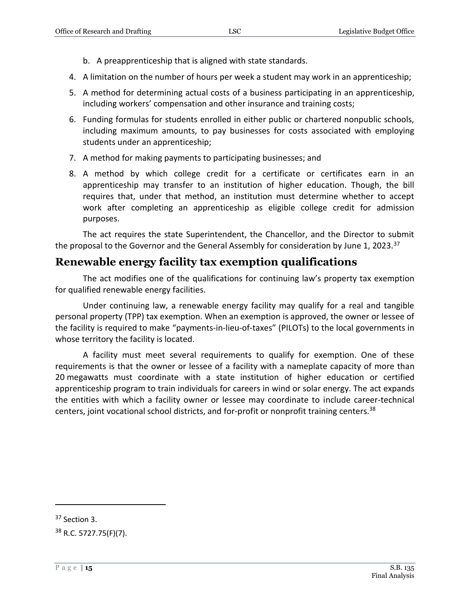- b. A preapprenticeship that is aligned with state standards.
- 4. A limitation on the number of hours per week a student may work in an apprenticeship;
- 5. A method for determining actual costs of a business participating in an apprenticeship, including workers' compensation and other insurance and training costs;
- 6. Funding formulas for students enrolled in either public or chartered nonpublic schools, including maximum amounts, to pay businesses for costs associated with employing students under an apprenticeship;
- 7. A method for making payments to participating businesses; and
- 8. A method by which college credit for a certificate or certificates earn in an apprenticeship may transfer to an institution of higher education. Though, the bill requires that, under that method, an institution must determine whether to accept work after completing an apprenticeship as eligible college credit for admission purposes.

The act requires the state Superintendent, the Chancellor, and the Director to submit the proposal to the Governor and the General Assembly for consideration by June 1, 2023.<sup>37</sup>

### <span id="page-14-0"></span>**Renewable energy facility tax exemption qualifications**

The act modifies one of the qualifications for continuing law's property tax exemption for qualified renewable energy facilities.

Under continuing law, a renewable energy facility may qualify for a real and tangible personal property (TPP) tax exemption. When an exemption is approved, the owner or lessee of the facility is required to make "payments-in-lieu-of-taxes" (PILOTs) to the local governments in whose territory the facility is located.

A facility must meet several requirements to qualify for exemption. One of these requirements is that the owner or lessee of a facility with a nameplate capacity of more than 20 megawatts must coordinate with a state institution of higher education or certified apprenticeship program to train individuals for careers in wind or solar energy. The act expands the entities with which a facility owner or lessee may coordinate to include career-technical centers, joint vocational school districts, and for-profit or nonprofit training centers.<sup>38</sup>

<sup>37</sup> Section 3.

<sup>38</sup> R.C. 5727.75(F)(7).